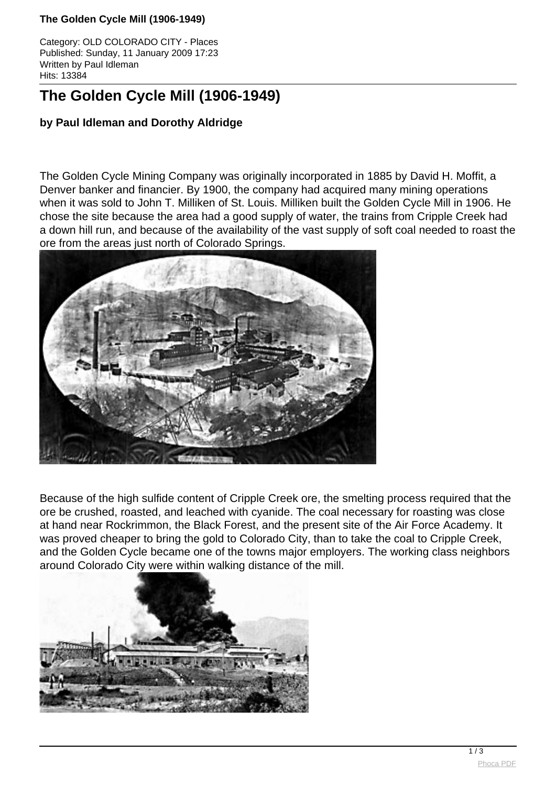#### **The Golden Cycle Mill (1906-1949)**

Category: OLD COLORADO CITY - Places Published: Sunday, 11 January 2009 17:23 Written by Paul Idleman Hits: 13384

# **The Golden Cycle Mill (1906-1949)**

## **by Paul Idleman and Dorothy Aldridge**

The Golden Cycle Mining Company was originally incorporated in 1885 by David H. Moffit, a Denver banker and financier. By 1900, the company had acquired many mining operations when it was sold to John T. Milliken of St. Louis. Milliken built the Golden Cycle Mill in 1906. He chose the site because the area had a good supply of water, the trains from Cripple Creek had a down hill run, and because of the availability of the vast supply of soft coal needed to roast the ore from the areas just north of Colorado Springs.



Because of the high sulfide content of Cripple Creek ore, the smelting process required that the ore be crushed, roasted, and leached with cyanide. The coal necessary for roasting was close at hand near Rockrimmon, the Black Forest, and the present site of the Air Force Academy. It was proved cheaper to bring the gold to Colorado City, than to take the coal to Cripple Creek, and the Golden Cycle became one of the towns major employers. The working class neighbors around Colorado City were within walking distance of the mill.

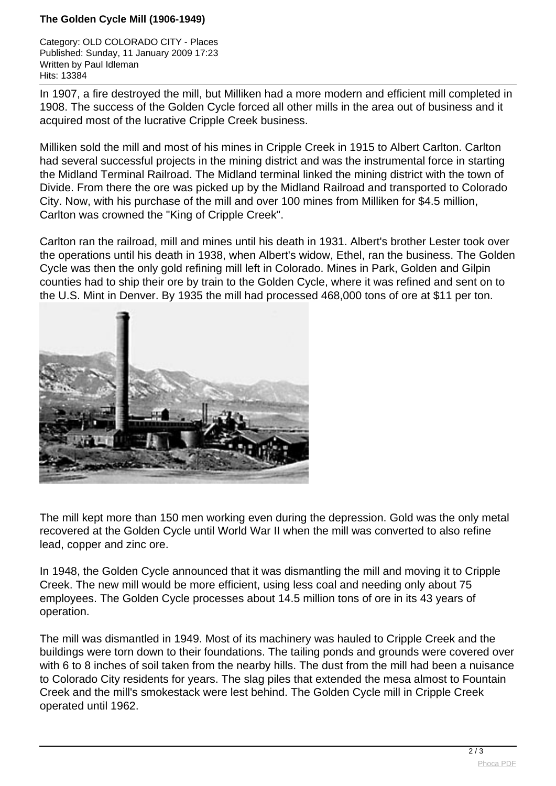### **The Golden Cycle Mill (1906-1949)**

Category: OLD COLORADO CITY - Places Published: Sunday, 11 January 2009 17:23 Written by Paul Idleman Hits: 13384

In 1907, a fire destroyed the mill, but Milliken had a more modern and efficient mill completed in 1908. The success of the Golden Cycle forced all other mills in the area out of business and it acquired most of the lucrative Cripple Creek business.

Milliken sold the mill and most of his mines in Cripple Creek in 1915 to Albert Carlton. Carlton had several successful projects in the mining district and was the instrumental force in starting the Midland Terminal Railroad. The Midland terminal linked the mining district with the town of Divide. From there the ore was picked up by the Midland Railroad and transported to Colorado City. Now, with his purchase of the mill and over 100 mines from Milliken for \$4.5 million, Carlton was crowned the "King of Cripple Creek".

Carlton ran the railroad, mill and mines until his death in 1931. Albert's brother Lester took over the operations until his death in 1938, when Albert's widow, Ethel, ran the business. The Golden Cycle was then the only gold refining mill left in Colorado. Mines in Park, Golden and Gilpin counties had to ship their ore by train to the Golden Cycle, where it was refined and sent on to the U.S. Mint in Denver. By 1935 the mill had processed 468,000 tons of ore at \$11 per ton.



The mill kept more than 150 men working even during the depression. Gold was the only metal recovered at the Golden Cycle until World War II when the mill was converted to also refine lead, copper and zinc ore.

In 1948, the Golden Cycle announced that it was dismantling the mill and moving it to Cripple Creek. The new mill would be more efficient, using less coal and needing only about 75 employees. The Golden Cycle processes about 14.5 million tons of ore in its 43 years of operation.

The mill was dismantled in 1949. Most of its machinery was hauled to Cripple Creek and the buildings were torn down to their foundations. The tailing ponds and grounds were covered over with 6 to 8 inches of soil taken from the nearby hills. The dust from the mill had been a nuisance to Colorado City residents for years. The slag piles that extended the mesa almost to Fountain Creek and the mill's smokestack were lest behind. The Golden Cycle mill in Cripple Creek operated until 1962.